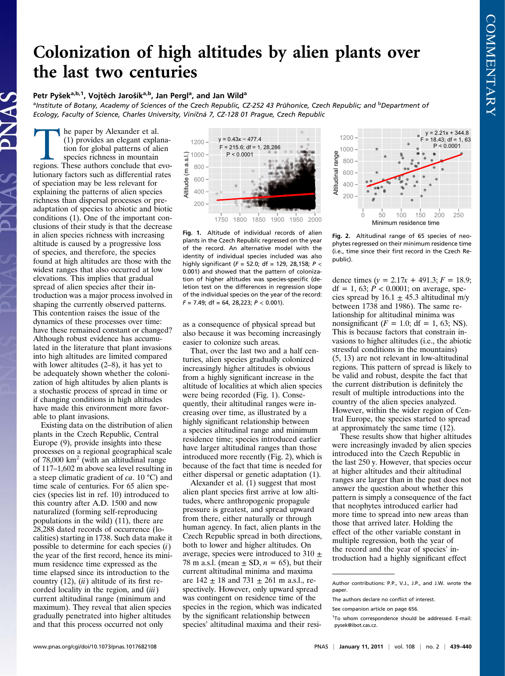## Colonization of high altitudes by alien plants over the last two centuries

## Petr Pyšek<sup>a,b,1</sup>, Vojtěch Jarošík<sup>a,b</sup>, Jan Pergl<sup>a</sup>, and Jan Wild<sup>a</sup>

<sup>a</sup>Institute of Botany, Academy of Sciences of the Czech Republic, CZ-252 43 Průhonice, Czech Republic; and <sup>b</sup>Department of Ecology, Faculty of Science, Charles University, Viničná 7, CZ-128 01 Prague, Czech Republic

he paper by Alexander et al. (1) provides an elegant explanation for global patterns of alien species richness in mountain regions. These authors conclude that evolutionary factors such as differential rates of speciation may be less relevant for explaining the patterns of alien species richness than dispersal processes or preadaptation of species to abiotic and biotic conditions (1). One of the important conclusions of their study is that the decrease in alien species richness with increasing altitude is caused by a progressive loss of species, and therefore, the species found at high altitudes are those with the widest ranges that also occurred at low elevations. This implies that gradual spread of alien species after their introduction was a major process involved in shaping the currently observed patterns. This contention raises the issue of the dynamics of these processes over time: have these remained constant or changed? Although robust evidence has accumulated in the literature that plant invasions into high altitudes are limited compared with lower altitudes (2–8), it has yet to be adequately shown whether the colonization of high altitudes by alien plants is a stochastic process of spread in time or if changing conditions in high altitudes have made this environment more favorable to plant invasions.

Existing data on the distribution of alien plants in the Czech Republic, Central Europe (9), provide insights into these processes on a regional geographical scale of  $78,000$  km<sup>2</sup> (with an altitudinal range of 117–1,602 m above sea level resulting in a steep climatic gradient of  $ca$ . 10 °C) and time scale of centuries. For 65 alien species (species list in ref. 10) introduced to this country after A.D. 1500 and now naturalized (forming self-reproducing populations in the wild) (11), there are 28,288 dated records of occurrence (localities) starting in 1738. Such data make it possible to determine for each species  $(i)$ the year of the first record, hence its minimum residence time expressed as the time elapsed since its introduction to the country  $(12)$ ,  $(ii)$  altitude of its first recorded locality in the region, and  $(iii)$ current altitudinal range (minimum and maximum). They reveal that alien species gradually penetrated into higher altitudes and that this process occurred not only



Fig. 1. Altitude of individual records of alien plants in the Czech Republic regressed on the year of the record. An alternative model with the identity of individual species included was also highly significant ( $F = 52.0$ ; df = 129, 28,158;  $P <$ 0.001) and showed that the pattern of colonization of higher altitudes was species-specific (deletion test on the differences in regression slope of the individual species on the year of the record:  $F = 7.49$ ; df = 64, 28, 223;  $P < 0.001$ ).

as a consequence of physical spread but also because it was becoming increasingly easier to colonize such areas.

That, over the last two and a half centuries, alien species gradually colonized increasingly higher altitudes is obvious from a highly significant increase in the altitude of localities at which alien species were being recorded (Fig. 1). Consequently, their altitudinal ranges were increasing over time, as illustrated by a highly significant relationship between a species altitudinal range and minimum residence time; species introduced earlier have larger altitudinal ranges than those introduced more recently (Fig. 2), which is because of the fact that time is needed for either dispersal or genetic adaptation (1).

Alexander et al. (1) suggest that most alien plant species first arrive at low altitudes, where anthropogenic propagule pressure is greatest, and spread upward from there, either naturally or through human agency. In fact, alien plants in the Czech Republic spread in both directions, both to lower and higher altitudes. On average, species were introduced to 310  $\pm$ 78 m a.s.l. (mean  $\pm$  SD,  $n = 65$ ), but their current altitudinal minima and maxima are  $142 \pm 18$  and  $731 \pm 261$  m a.s.l., respectively. However, only upward spread was contingent on residence time of the species in the region, which was indicated by the significant relationship between species' altitudinal maxima and their resi-



Fig. 2. Altitudinal range of 65 species of neophytes regressed on their minimum residence time (i.e., time since their first record in the Czech Republic).

dence times  $(y = 2.17x + 491.3; F = 18.9;$ df = 1, 63;  $P < 0.0001$ ; on average, species spread by  $16.1 \pm 45.3$  altitudinal m/y between 1738 and 1986). The same relationship for altitudinal minima was nonsignificant ( $F = 1.0$ ; df = 1, 63; NS). This is because factors that constrain invasions to higher altitudes (i.e., the abiotic stressful conditions in the mountains) (5, 13) are not relevant in low-altitudinal regions. This pattern of spread is likely to be valid and robust, despite the fact that the current distribution is definitely the result of multiple introductions into the country of the alien species analyzed. However, within the wider region of Central Europe, the species started to spread at approximately the same time (12).

These results show that higher altitudes were increasingly invaded by alien species introduced into the Czech Republic in the last 250 y. However, that species occur at higher altitudes and their altitudinal ranges are larger than in the past does not answer the question about whether this pattern is simply a consequence of the fact that neophytes introduced earlier had more time to spread into new areas than those that arrived later. Holding the effect of the other variable constant in multiple regression, both the year of the record and the year of species' introduction had a highly significant effect

Author contributions: P.P., V.J., J.P., and J.W. wrote the paper.

The authors declare no conflict of interest.

See companion article on page 656.

<sup>&</sup>lt;sup>1</sup>To whom correspondence should be addressed. E-mail: [pysek@ibot.cas.cz.](mailto:pysek@ibot.cas.cz)